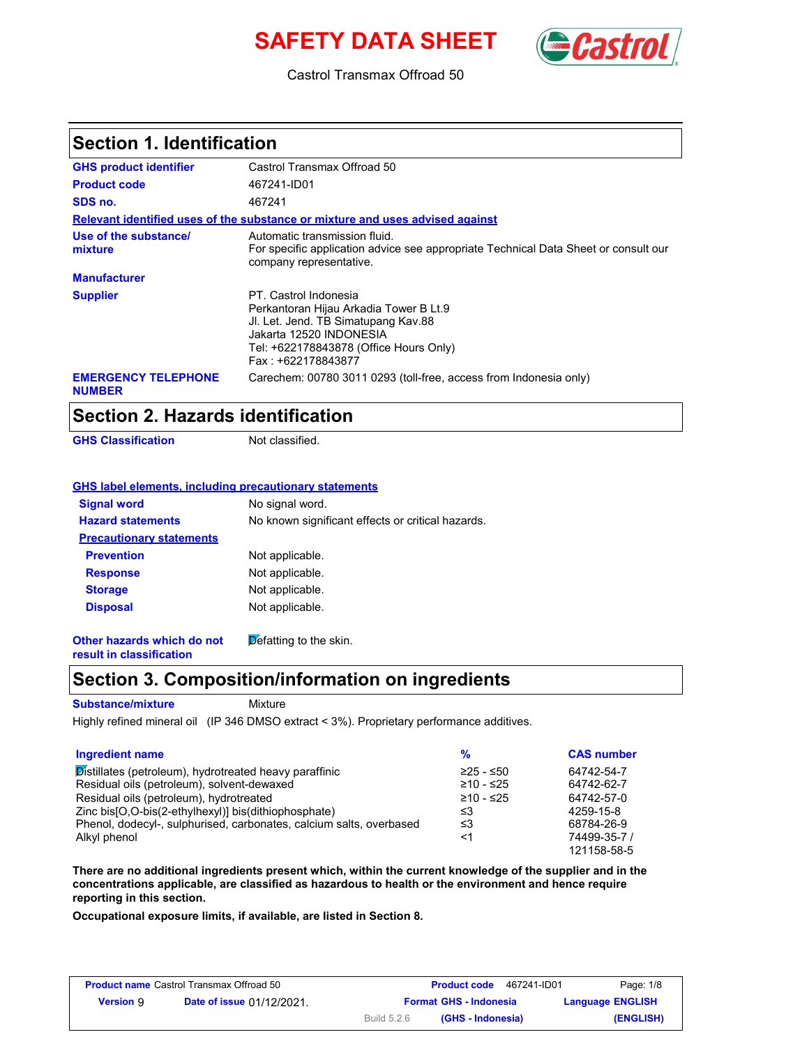# **SAFETY DATA SHEET**



Castrol Transmax Offroad 50

### **Section 1. Identification**

| <b>GHS product identifier</b>               | Castrol Transmax Offroad 50                                                                                                                                                                       |
|---------------------------------------------|---------------------------------------------------------------------------------------------------------------------------------------------------------------------------------------------------|
| <b>Product code</b>                         | 467241-ID01                                                                                                                                                                                       |
| SDS no.                                     | 467241                                                                                                                                                                                            |
|                                             | Relevant identified uses of the substance or mixture and uses advised against                                                                                                                     |
| Use of the substance/<br>mixture            | Automatic transmission fluid.<br>For specific application advice see appropriate Technical Data Sheet or consult our<br>company representative.                                                   |
| <b>Manufacturer</b>                         |                                                                                                                                                                                                   |
| <b>Supplier</b>                             | PT. Castrol Indonesia<br>Perkantoran Hijau Arkadia Tower B Lt.9<br>JI. Let. Jend. TB Simatupang Kav.88<br>Jakarta 12520 INDONESIA<br>Tel: +622178843878 (Office Hours Only)<br>Fax: +622178843877 |
| <b>EMERGENCY TELEPHONE</b><br><b>NUMBER</b> | Carechem: 00780 3011 0293 (toll-free, access from Indonesia only)                                                                                                                                 |

## **Section 2. Hazards identification**

**GHS Classification** Not classified.

### **GHS label elements, including precautionary statements**

| <b>Signal word</b>              | No signal word.                                   |  |
|---------------------------------|---------------------------------------------------|--|
| <b>Hazard statements</b>        | No known significant effects or critical hazards. |  |
| <b>Precautionary statements</b> |                                                   |  |
| <b>Prevention</b>               | Not applicable.                                   |  |
| <b>Response</b>                 | Not applicable.                                   |  |
| <b>Storage</b>                  | Not applicable.                                   |  |
| <b>Disposal</b>                 | Not applicable.                                   |  |
|                                 |                                                   |  |

**Other hazards which do not result in classification**  $\overline{\mathsf{D}}$  efatting to the skin.

### **Section 3. Composition/information on ingredients**

**Substance/mixture**

Mixture

Highly refined mineral oil (IP 346 DMSO extract < 3%). Proprietary performance additives.

| Ingredient name                                                     | %           | <b>CAS number</b> |
|---------------------------------------------------------------------|-------------|-------------------|
| Distillates (petroleum), hydrotreated heavy paraffinic              | $≥25 - ≤50$ | 64742-54-7        |
| Residual oils (petroleum), solvent-dewaxed                          | $≥10 - ≤25$ | 64742-62-7        |
| Residual oils (petroleum), hydrotreated                             | ≥10 - ≤25   | 64742-57-0        |
| Zinc bis [O, O-bis (2-ethylhexyl)] bis (dithiophosphate)            | ≤3          | 4259-15-8         |
| Phenol, dodecyl-, sulphurised, carbonates, calcium salts, overbased | ≤3          | 68784-26-9        |
| Alkyl phenol                                                        | <1          | 74499-35-7 /      |
|                                                                     |             | 121158-58-5       |

**There are no additional ingredients present which, within the current knowledge of the supplier and in the concentrations applicable, are classified as hazardous to health or the environment and hence require reporting in this section.**

**Occupational exposure limits, if available, are listed in Section 8.**

| <b>Product name Castrol Transmax Offroad 50</b> |                                  |                               | 467241-ID01<br><b>Product code</b> | Page: 1/8               |
|-------------------------------------------------|----------------------------------|-------------------------------|------------------------------------|-------------------------|
| <b>Version</b> 9                                | <b>Date of issue 01/12/2021.</b> | <b>Format GHS - Indonesia</b> |                                    | <b>Language ENGLISH</b> |
|                                                 |                                  | Build 5.2.6                   | (GHS - Indonesia)                  | (ENGLISH)               |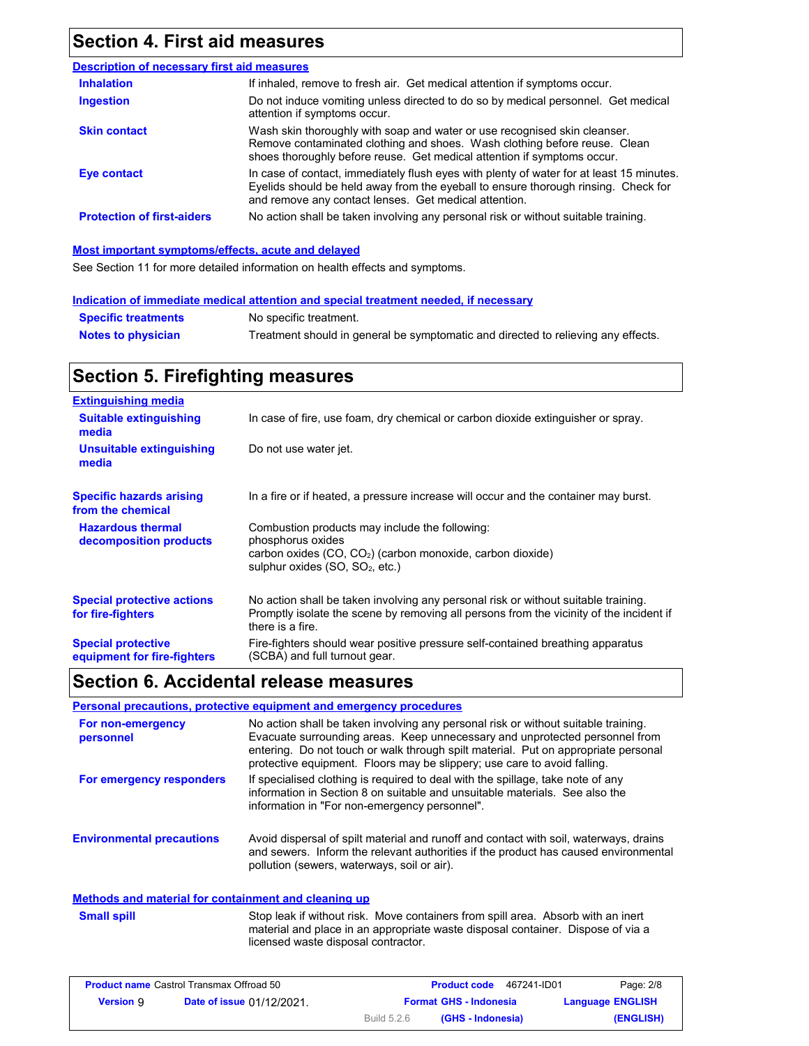## **Section 4. First aid measures**

| <b>Description of necessary first aid measures</b> |                                                                                                                                                                                                                                         |
|----------------------------------------------------|-----------------------------------------------------------------------------------------------------------------------------------------------------------------------------------------------------------------------------------------|
| <b>Inhalation</b>                                  | If inhaled, remove to fresh air. Get medical attention if symptoms occur.                                                                                                                                                               |
| <b>Ingestion</b>                                   | Do not induce vomiting unless directed to do so by medical personnel. Get medical<br>attention if symptoms occur.                                                                                                                       |
| <b>Skin contact</b>                                | Wash skin thoroughly with soap and water or use recognised skin cleanser.<br>Remove contaminated clothing and shoes. Wash clothing before reuse. Clean<br>shoes thoroughly before reuse. Get medical attention if symptoms occur.       |
| Eye contact                                        | In case of contact, immediately flush eyes with plenty of water for at least 15 minutes.<br>Eyelids should be held away from the eyeball to ensure thorough rinsing. Check for<br>and remove any contact lenses. Get medical attention. |
| <b>Protection of first-aiders</b>                  | No action shall be taken involving any personal risk or without suitable training.                                                                                                                                                      |

#### **Most important symptoms/effects, acute and delayed**

See Section 11 for more detailed information on health effects and symptoms.

|                            | Indication of immediate medical attention and special treatment needed, if necessary |
|----------------------------|--------------------------------------------------------------------------------------|
| <b>Specific treatments</b> | No specific treatment.                                                               |
| <b>Notes to physician</b>  | Treatment should in general be symptomatic and directed to relieving any effects.    |

## **Section 5. Firefighting measures**

| <b>Extinguishing media</b>                               |                                                                                                                                                                                                   |
|----------------------------------------------------------|---------------------------------------------------------------------------------------------------------------------------------------------------------------------------------------------------|
| <b>Suitable extinguishing</b><br>media                   | In case of fire, use foam, dry chemical or carbon dioxide extinguisher or spray.                                                                                                                  |
| <b>Unsuitable extinguishing</b><br>media                 | Do not use water jet.                                                                                                                                                                             |
| <b>Specific hazards arising</b><br>from the chemical     | In a fire or if heated, a pressure increase will occur and the container may burst.                                                                                                               |
| <b>Hazardous thermal</b><br>decomposition products       | Combustion products may include the following:<br>phosphorus oxides<br>carbon oxides $(CO, CO2)$ (carbon monoxide, carbon dioxide)<br>sulphur oxides (SO, SO <sub>2</sub> , etc.)                 |
| <b>Special protective actions</b><br>for fire-fighters   | No action shall be taken involving any personal risk or without suitable training.<br>Promptly isolate the scene by removing all persons from the vicinity of the incident if<br>there is a fire. |
| <b>Special protective</b><br>equipment for fire-fighters | Fire-fighters should wear positive pressure self-contained breathing apparatus<br>(SCBA) and full turnout gear.                                                                                   |

### **Section 6. Accidental release measures**

### **Personal precautions, protective equipment and emergency procedures**

| For non-emergency<br>personnel   | No action shall be taken involving any personal risk or without suitable training.<br>Evacuate surrounding areas. Keep unnecessary and unprotected personnel from<br>entering. Do not touch or walk through spilt material. Put on appropriate personal<br>protective equipment. Floors may be slippery; use care to avoid falling. |
|----------------------------------|-------------------------------------------------------------------------------------------------------------------------------------------------------------------------------------------------------------------------------------------------------------------------------------------------------------------------------------|
| For emergency responders         | If specialised clothing is required to deal with the spillage, take note of any<br>information in Section 8 on suitable and unsuitable materials. See also the<br>information in "For non-emergency personnel".                                                                                                                     |
| <b>Environmental precautions</b> | Avoid dispersal of spilt material and runoff and contact with soil, waterways, drains<br>and sewers. Inform the relevant authorities if the product has caused environmental<br>pollution (sewers, waterways, soil or air).                                                                                                         |

### **Methods and material for containment and cleaning up**

| Small spill |
|-------------|
|             |

Stop leak if without risk. Move containers from spill area. Absorb with an inert material and place in an appropriate waste disposal container. Dispose of via a licensed waste disposal contractor.

| <b>Product name Castrol Transmax Offroad 50</b> |                                  |             | 467241-ID01<br><b>Product code</b> | Page: 2/8               |
|-------------------------------------------------|----------------------------------|-------------|------------------------------------|-------------------------|
| <b>Version</b> 9                                | <b>Date of issue 01/12/2021.</b> |             | <b>Format GHS - Indonesia</b>      | <b>Language ENGLISH</b> |
|                                                 |                                  | Build 5.2.6 | (GHS - Indonesia)                  | (ENGLISH)               |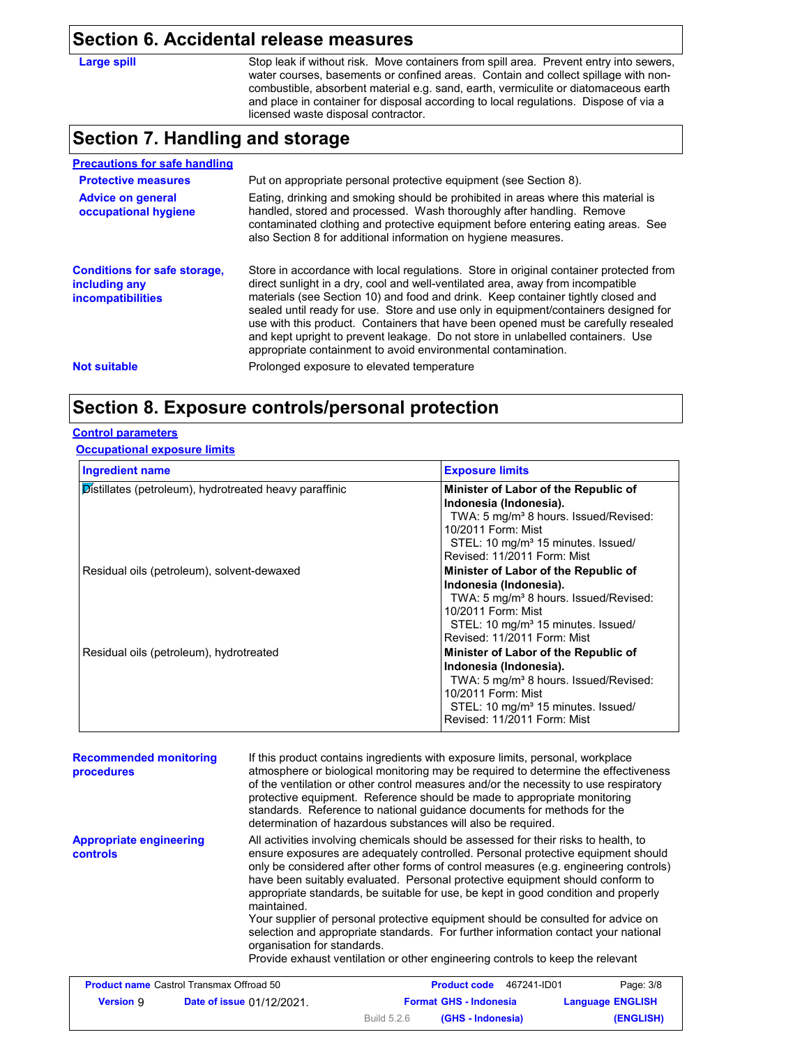### **Section 6. Accidental release measures**

**Large spill**

Stop leak if without risk. Move containers from spill area. Prevent entry into sewers, water courses, basements or confined areas. Contain and collect spillage with noncombustible, absorbent material e.g. sand, earth, vermiculite or diatomaceous earth and place in container for disposal according to local regulations. Dispose of via a licensed waste disposal contractor.

## **Section 7. Handling and storage**

| Put on appropriate personal protective equipment (see Section 8).                                                                                                                                                                                                                                                                                                                                                                                                                                                                                                                              |
|------------------------------------------------------------------------------------------------------------------------------------------------------------------------------------------------------------------------------------------------------------------------------------------------------------------------------------------------------------------------------------------------------------------------------------------------------------------------------------------------------------------------------------------------------------------------------------------------|
| Eating, drinking and smoking should be prohibited in areas where this material is<br>handled, stored and processed. Wash thoroughly after handling. Remove<br>contaminated clothing and protective equipment before entering eating areas. See<br>also Section 8 for additional information on hygiene measures.                                                                                                                                                                                                                                                                               |
| Store in accordance with local regulations. Store in original container protected from<br>direct sunlight in a dry, cool and well-ventilated area, away from incompatible<br>materials (see Section 10) and food and drink. Keep container tightly closed and<br>sealed until ready for use. Store and use only in equipment/containers designed for<br>use with this product. Containers that have been opened must be carefully resealed<br>and kept upright to prevent leakage. Do not store in unlabelled containers. Use<br>appropriate containment to avoid environmental contamination. |
|                                                                                                                                                                                                                                                                                                                                                                                                                                                                                                                                                                                                |
|                                                                                                                                                                                                                                                                                                                                                                                                                                                                                                                                                                                                |

## **Section 8. Exposure controls/personal protection**

### **Control parameters**

### **Occupational exposure limits**

| <b>Ingredient name</b>                                 | <b>Exposure limits</b>                                                                                                                                                                                                     |
|--------------------------------------------------------|----------------------------------------------------------------------------------------------------------------------------------------------------------------------------------------------------------------------------|
| Distillates (petroleum), hydrotreated heavy paraffinic | Minister of Labor of the Republic of<br>Indonesia (Indonesia).<br>TWA: 5 mg/m <sup>3</sup> 8 hours. Issued/Revised:<br>10/2011 Form: Mist<br>STEL: 10 mg/m <sup>3</sup> 15 minutes. Issued/<br>Revised: 11/2011 Form: Mist |
| Residual oils (petroleum), solvent-dewaxed             | Minister of Labor of the Republic of<br>Indonesia (Indonesia).<br>TWA: 5 mg/m <sup>3</sup> 8 hours. Issued/Revised:<br>10/2011 Form: Mist<br>STEL: 10 mg/m <sup>3</sup> 15 minutes. Issued/<br>Revised: 11/2011 Form: Mist |
| Residual oils (petroleum), hydrotreated                | Minister of Labor of the Republic of<br>Indonesia (Indonesia).<br>TWA: 5 mg/m <sup>3</sup> 8 hours. Issued/Revised:<br>10/2011 Form: Mist<br>STEL: 10 mg/m <sup>3</sup> 15 minutes. Issued/<br>Revised: 11/2011 Form: Mist |

| <b>Recommended monitoring</b><br>procedures       |                                  | If this product contains ingredients with exposure limits, personal, workplace<br>atmosphere or biological monitoring may be required to determine the effectiveness<br>of the ventilation or other control measures and/or the necessity to use respiratory<br>protective equipment. Reference should be made to appropriate monitoring<br>standards. Reference to national quidance documents for methods for the<br>determination of hazardous substances will also be required.                                                                                                                                                                                                                                                              |                               |  |                         |
|---------------------------------------------------|----------------------------------|--------------------------------------------------------------------------------------------------------------------------------------------------------------------------------------------------------------------------------------------------------------------------------------------------------------------------------------------------------------------------------------------------------------------------------------------------------------------------------------------------------------------------------------------------------------------------------------------------------------------------------------------------------------------------------------------------------------------------------------------------|-------------------------------|--|-------------------------|
| <b>Appropriate engineering</b><br><b>controls</b> |                                  | All activities involving chemicals should be assessed for their risks to health, to<br>ensure exposures are adequately controlled. Personal protective equipment should<br>only be considered after other forms of control measures (e.g. engineering controls)<br>have been suitably evaluated. Personal protective equipment should conform to<br>appropriate standards, be suitable for use, be kept in good condition and properly<br>maintained.<br>Your supplier of personal protective equipment should be consulted for advice on<br>selection and appropriate standards. For further information contact your national<br>organisation for standards.<br>Provide exhaust ventilation or other engineering controls to keep the relevant |                               |  |                         |
| <b>Product name Castrol Transmax Offroad 50</b>   |                                  |                                                                                                                                                                                                                                                                                                                                                                                                                                                                                                                                                                                                                                                                                                                                                  | Product code 467241-ID01      |  | Page: 3/8               |
| <b>Version</b> 9                                  | <b>Date of issue 01/12/2021.</b> |                                                                                                                                                                                                                                                                                                                                                                                                                                                                                                                                                                                                                                                                                                                                                  | <b>Format GHS - Indonesia</b> |  | <b>Language ENGLISH</b> |

Build 5.2.6

**(GHS - Indonesia) (ENGLISH)**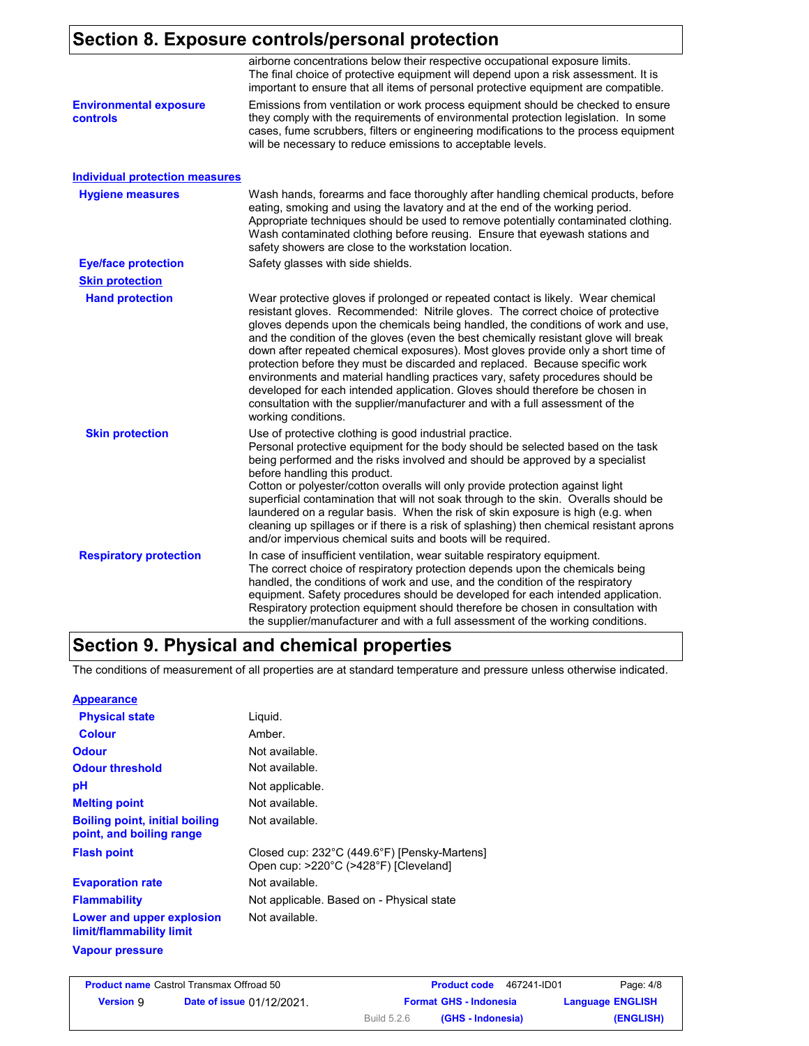# **Section 8. Exposure controls/personal protection**

|                                           | airborne concentrations below their respective occupational exposure limits.<br>The final choice of protective equipment will depend upon a risk assessment. It is<br>important to ensure that all items of personal protective equipment are compatible.                                                                                                                                                                                                                                                                                                                                                                                                                                                                                                                                       |
|-------------------------------------------|-------------------------------------------------------------------------------------------------------------------------------------------------------------------------------------------------------------------------------------------------------------------------------------------------------------------------------------------------------------------------------------------------------------------------------------------------------------------------------------------------------------------------------------------------------------------------------------------------------------------------------------------------------------------------------------------------------------------------------------------------------------------------------------------------|
| <b>Environmental exposure</b><br>controls | Emissions from ventilation or work process equipment should be checked to ensure<br>they comply with the requirements of environmental protection legislation. In some<br>cases, fume scrubbers, filters or engineering modifications to the process equipment<br>will be necessary to reduce emissions to acceptable levels.                                                                                                                                                                                                                                                                                                                                                                                                                                                                   |
| <b>Individual protection measures</b>     |                                                                                                                                                                                                                                                                                                                                                                                                                                                                                                                                                                                                                                                                                                                                                                                                 |
| <b>Hygiene measures</b>                   | Wash hands, forearms and face thoroughly after handling chemical products, before<br>eating, smoking and using the lavatory and at the end of the working period.<br>Appropriate techniques should be used to remove potentially contaminated clothing.<br>Wash contaminated clothing before reusing. Ensure that eyewash stations and<br>safety showers are close to the workstation location.                                                                                                                                                                                                                                                                                                                                                                                                 |
| <b>Eye/face protection</b>                | Safety glasses with side shields.                                                                                                                                                                                                                                                                                                                                                                                                                                                                                                                                                                                                                                                                                                                                                               |
| <b>Skin protection</b>                    |                                                                                                                                                                                                                                                                                                                                                                                                                                                                                                                                                                                                                                                                                                                                                                                                 |
| <b>Hand protection</b>                    | Wear protective gloves if prolonged or repeated contact is likely. Wear chemical<br>resistant gloves. Recommended: Nitrile gloves. The correct choice of protective<br>gloves depends upon the chemicals being handled, the conditions of work and use,<br>and the condition of the gloves (even the best chemically resistant glove will break<br>down after repeated chemical exposures). Most gloves provide only a short time of<br>protection before they must be discarded and replaced. Because specific work<br>environments and material handling practices vary, safety procedures should be<br>developed for each intended application. Gloves should therefore be chosen in<br>consultation with the supplier/manufacturer and with a full assessment of the<br>working conditions. |
| <b>Skin protection</b>                    | Use of protective clothing is good industrial practice.<br>Personal protective equipment for the body should be selected based on the task<br>being performed and the risks involved and should be approved by a specialist<br>before handling this product.<br>Cotton or polyester/cotton overalls will only provide protection against light<br>superficial contamination that will not soak through to the skin. Overalls should be<br>laundered on a regular basis. When the risk of skin exposure is high (e.g. when<br>cleaning up spillages or if there is a risk of splashing) then chemical resistant aprons<br>and/or impervious chemical suits and boots will be required.                                                                                                           |
| <b>Respiratory protection</b>             | In case of insufficient ventilation, wear suitable respiratory equipment.<br>The correct choice of respiratory protection depends upon the chemicals being<br>handled, the conditions of work and use, and the condition of the respiratory<br>equipment. Safety procedures should be developed for each intended application.<br>Respiratory protection equipment should therefore be chosen in consultation with<br>the supplier/manufacturer and with a full assessment of the working conditions.                                                                                                                                                                                                                                                                                           |

## **Section 9. Physical and chemical properties**

The conditions of measurement of all properties are at standard temperature and pressure unless otherwise indicated.

| Liguid.                                                                               |
|---------------------------------------------------------------------------------------|
| Amber.                                                                                |
| Not available.                                                                        |
| Not available.                                                                        |
| Not applicable.                                                                       |
| Not available.                                                                        |
| Not available.                                                                        |
| Closed cup: 232°C (449.6°F) [Pensky-Martens]<br>Open cup: >220°C (>428°F) [Cleveland] |
| Not available.                                                                        |
| Not applicable. Based on - Physical state                                             |
| Not available.                                                                        |
|                                                                                       |

### **Vapour pressure**

|           | <b>Product name Castrol Transmax Offroad 50</b> |                    | 467241-ID01<br><b>Product code</b> | Page: 4/8               |
|-----------|-------------------------------------------------|--------------------|------------------------------------|-------------------------|
| Version 9 | <b>Date of issue 01/12/2021.</b>                |                    | <b>Format GHS - Indonesia</b>      | <b>Language ENGLISH</b> |
|           |                                                 | <b>Build 5.2.6</b> | (GHS - Indonesia)                  | (ENGLISH)               |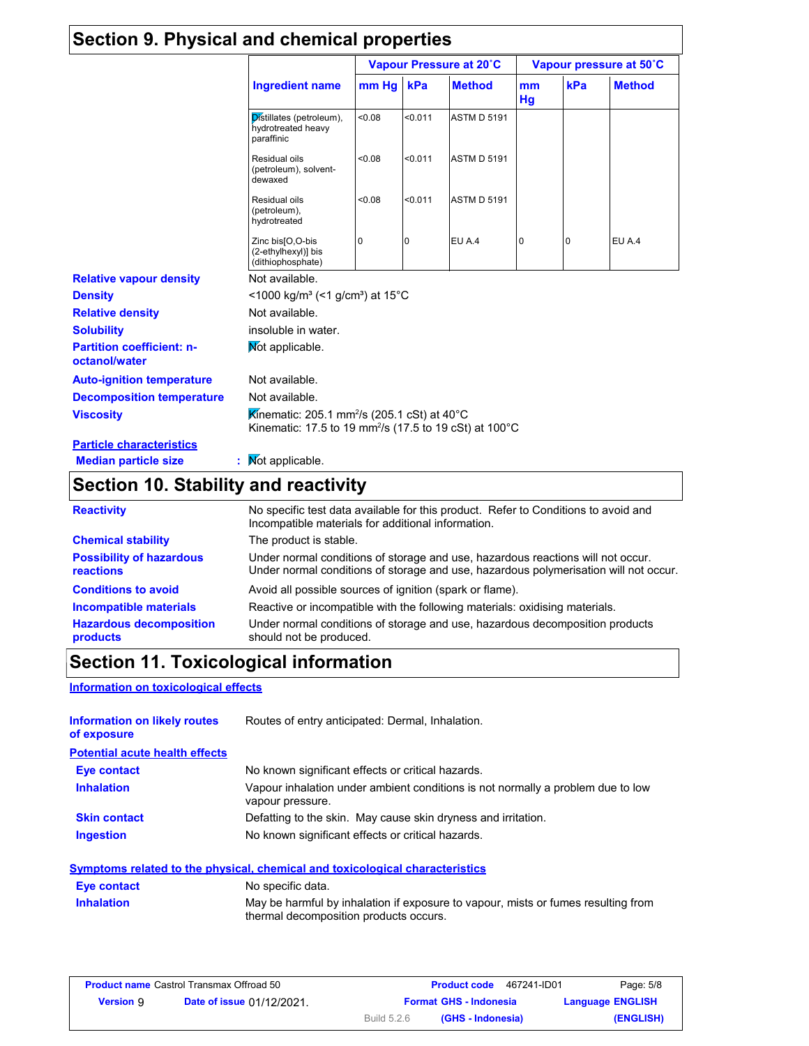| Section 9. Physical and chemical properties                    |                                                                                                                                          |        |                         |                    |                         |     |               |
|----------------------------------------------------------------|------------------------------------------------------------------------------------------------------------------------------------------|--------|-------------------------|--------------------|-------------------------|-----|---------------|
|                                                                |                                                                                                                                          |        | Vapour Pressure at 20°C |                    | Vapour pressure at 50°C |     |               |
|                                                                | <b>Ingredient name</b>                                                                                                                   | mm Hg  | kPa                     | <b>Method</b>      | mm<br>Hg                | kPa | <b>Method</b> |
|                                                                | Distillates (petroleum),<br>hydrotreated heavy<br>paraffinic                                                                             | 80.08  | < 0.011                 | <b>ASTM D 5191</b> |                         |     |               |
|                                                                | Residual oils<br>(petroleum), solvent-<br>dewaxed                                                                                        | < 0.08 | < 0.011                 | <b>ASTM D 5191</b> |                         |     |               |
|                                                                | Residual oils<br>(petroleum),<br>hydrotreated                                                                                            | < 0.08 | < 0.011                 | <b>ASTM D 5191</b> |                         |     |               |
|                                                                | Zinc bis[O,O-bis<br>(2-ethylhexyl)] bis<br>(dithiophosphate)                                                                             | 0      | 0                       | EU A.4             | 10                      | 0   | EU A.4        |
| <b>Relative vapour density</b>                                 | Not available.                                                                                                                           |        |                         |                    |                         |     |               |
| <b>Density</b>                                                 | $\leq$ 1000 kg/m <sup>3</sup> (<1 g/cm <sup>3</sup> ) at 15 <sup>°</sup> C                                                               |        |                         |                    |                         |     |               |
| <b>Relative density</b>                                        | Not available.                                                                                                                           |        |                         |                    |                         |     |               |
| <b>Solubility</b>                                              | insoluble in water.                                                                                                                      |        |                         |                    |                         |     |               |
| <b>Partition coefficient: n-</b><br>octanol/water              | Mot applicable.                                                                                                                          |        |                         |                    |                         |     |               |
| <b>Auto-ignition temperature</b>                               | Not available.                                                                                                                           |        |                         |                    |                         |     |               |
| <b>Decomposition temperature</b>                               | Not available.                                                                                                                           |        |                         |                    |                         |     |               |
| <b>Viscosity</b>                                               | Kinematic: 205.1 mm <sup>2</sup> /s (205.1 cSt) at 40 $^{\circ}$ C<br>Kinematic: 17.5 to 19 mm <sup>2</sup> /s (17.5 to 19 cSt) at 100°C |        |                         |                    |                         |     |               |
| <b>Particle characteristics</b><br><b>Median particle size</b> | Mot applicable.                                                                                                                          |        |                         |                    |                         |     |               |

# **Section 10. Stability and reactivity**

| <b>Reactivity</b>                            | No specific test data available for this product. Refer to Conditions to avoid and<br>Incompatible materials for additional information.                                |  |  |
|----------------------------------------------|-------------------------------------------------------------------------------------------------------------------------------------------------------------------------|--|--|
| <b>Chemical stability</b>                    | The product is stable.                                                                                                                                                  |  |  |
| <b>Possibility of hazardous</b><br>reactions | Under normal conditions of storage and use, hazardous reactions will not occur.<br>Under normal conditions of storage and use, hazardous polymerisation will not occur. |  |  |
| <b>Conditions to avoid</b>                   | Avoid all possible sources of ignition (spark or flame).                                                                                                                |  |  |
| Incompatible materials                       | Reactive or incompatible with the following materials: oxidising materials.                                                                                             |  |  |
| <b>Hazardous decomposition</b><br>products   | Under normal conditions of storage and use, hazardous decomposition products<br>should not be produced.                                                                 |  |  |

# **Section 11. Toxicological information**

### **Information on toxicological effects**

| <b>Information on likely routes</b><br>of exposure | Routes of entry anticipated: Dermal, Inhalation.                                                    |
|----------------------------------------------------|-----------------------------------------------------------------------------------------------------|
| <b>Potential acute health effects</b>              |                                                                                                     |
| Eye contact                                        | No known significant effects or critical hazards.                                                   |
| <b>Inhalation</b>                                  | Vapour inhalation under ambient conditions is not normally a problem due to low<br>vapour pressure. |
| <b>Skin contact</b>                                | Defatting to the skin. May cause skin dryness and irritation.                                       |
| <b>Ingestion</b>                                   | No known significant effects or critical hazards.                                                   |

### **Symptoms related to the physical, chemical and toxicological characteristics Inhalation** May be harmful by inhalation if exposure to vapour, mists or fumes resulting from thermal decomposition products occurs. **Eye contact** No specific data.

|                  | <b>Product name Castrol Transmax Offroad 50</b> |                    | <b>Product code</b><br>467241-ID01 | Page: 5/8               |
|------------------|-------------------------------------------------|--------------------|------------------------------------|-------------------------|
| <b>Version 9</b> | <b>Date of issue 01/12/2021.</b>                |                    | <b>Format GHS - Indonesia</b>      | <b>Language ENGLISH</b> |
|                  |                                                 | <b>Build 5.2.6</b> | (GHS - Indonesia)                  | (ENGLISH)               |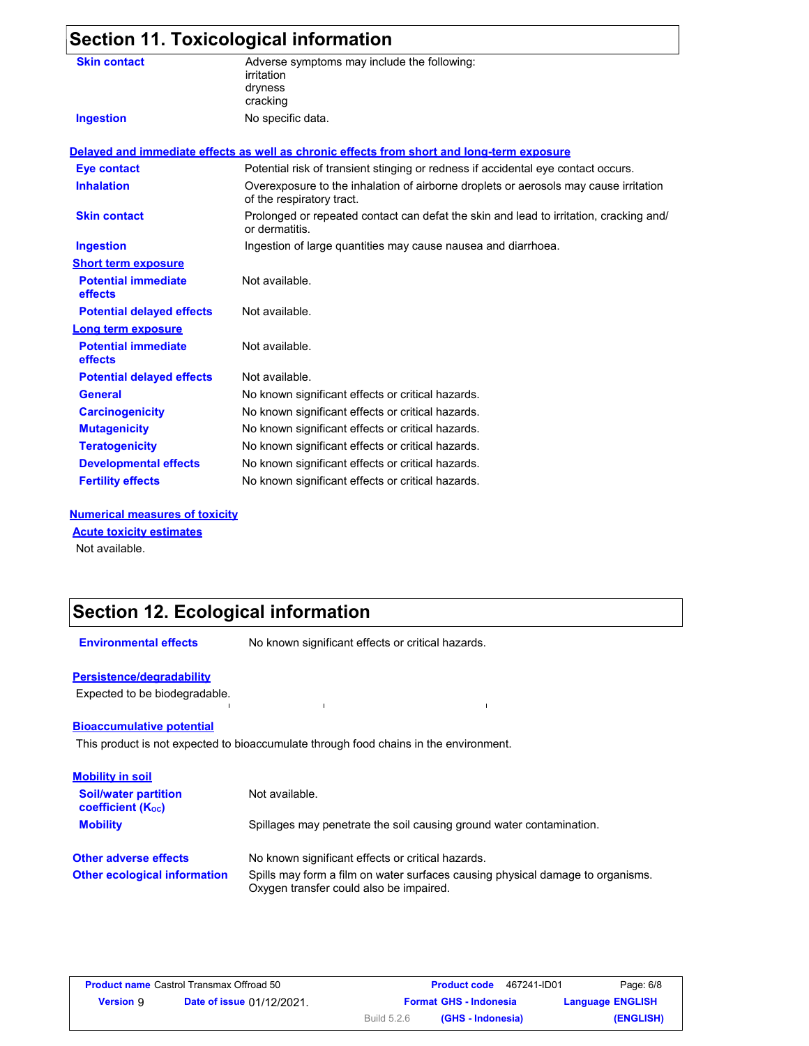# **Section 11. Toxicological information**

| <b>Skin contact</b>                   | Adverse symptoms may include the following:<br>irritation                                                         |
|---------------------------------------|-------------------------------------------------------------------------------------------------------------------|
|                                       | dryness                                                                                                           |
|                                       | cracking                                                                                                          |
| <b>Ingestion</b>                      | No specific data.                                                                                                 |
|                                       | Delayed and immediate effects as well as chronic effects from short and long-term exposure                        |
| Eye contact                           | Potential risk of transient stinging or redness if accidental eye contact occurs.                                 |
| <b>Inhalation</b>                     | Overexposure to the inhalation of airborne droplets or aerosols may cause irritation<br>of the respiratory tract. |
| <b>Skin contact</b>                   | Prolonged or repeated contact can defat the skin and lead to irritation, cracking and/<br>or dermatitis.          |
| <b>Ingestion</b>                      | Ingestion of large quantities may cause nausea and diarrhoea.                                                     |
| <b>Short term exposure</b>            |                                                                                                                   |
| <b>Potential immediate</b><br>effects | Not available.                                                                                                    |
| <b>Potential delayed effects</b>      | Not available.                                                                                                    |
| Long term exposure                    |                                                                                                                   |
| <b>Potential immediate</b><br>effects | Not available.                                                                                                    |
| <b>Potential delayed effects</b>      | Not available.                                                                                                    |
| <b>General</b>                        | No known significant effects or critical hazards.                                                                 |
| <b>Carcinogenicity</b>                | No known significant effects or critical hazards.                                                                 |
| <b>Mutagenicity</b>                   | No known significant effects or critical hazards.                                                                 |
| <b>Teratogenicity</b>                 | No known significant effects or critical hazards.                                                                 |
| <b>Developmental effects</b>          | No known significant effects or critical hazards.                                                                 |
| <b>Fertility effects</b>              | No known significant effects or critical hazards.                                                                 |

### **Numerical measures of toxicity**

Not available. **Acute toxicity estimates**

# **Section 12. Ecological information**

**Environmental effects** No known significant effects or critical hazards.

 $\hat{\mathbf{I}}$ 

### **Persistence/degradability**

Expected to be biodegradable.

### **Bioaccumulative potential**

This product is not expected to bioaccumulate through food chains in the environment.

 $\mathbf{I}$ 

| <b>Mobility in soil</b>                               |                                                                                                                           |
|-------------------------------------------------------|---------------------------------------------------------------------------------------------------------------------------|
| <b>Soil/water partition</b><br>coefficient $(K_{oc})$ | Not available.                                                                                                            |
| <b>Mobility</b>                                       | Spillages may penetrate the soil causing ground water contamination.                                                      |
| <b>Other adverse effects</b>                          | No known significant effects or critical hazards.                                                                         |
| <b>Other ecological information</b>                   | Spills may form a film on water surfaces causing physical damage to organisms.<br>Oxygen transfer could also be impaired. |

|                  | <b>Product name Castrol Transmax Offroad 50</b> |             | 467241-ID01<br><b>Product code</b> | Page: 6/8               |
|------------------|-------------------------------------------------|-------------|------------------------------------|-------------------------|
| <b>Version 9</b> | <b>Date of issue 01/12/2021</b>                 |             | <b>Format GHS - Indonesia</b>      | <b>Language ENGLISH</b> |
|                  |                                                 | Build 5.2.6 | (GHS - Indonesia)                  | (ENGLISH)               |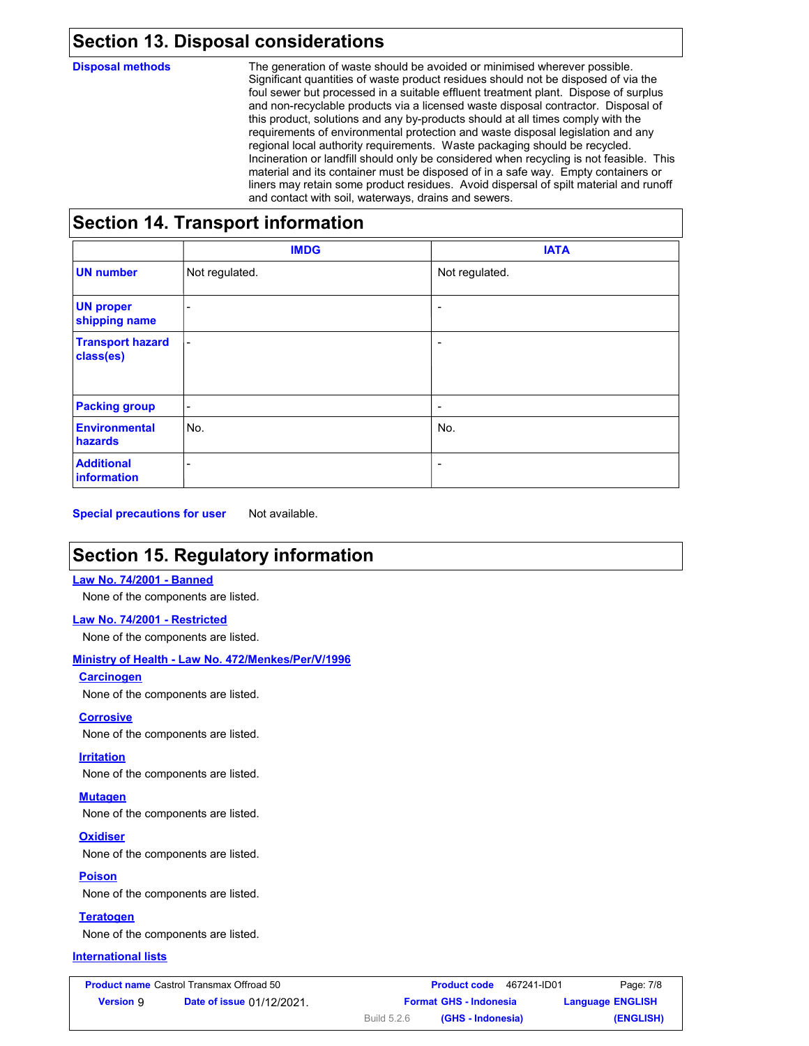### **Section 13. Disposal considerations**

**Disposal methods** The generation of waste should be avoided or minimised wherever possible. Significant quantities of waste product residues should not be disposed of via the foul sewer but processed in a suitable effluent treatment plant. Dispose of surplus and non-recyclable products via a licensed waste disposal contractor. Disposal of this product, solutions and any by-products should at all times comply with the requirements of environmental protection and waste disposal legislation and any regional local authority requirements. Waste packaging should be recycled. Incineration or landfill should only be considered when recycling is not feasible. This material and its container must be disposed of in a safe way. Empty containers or liners may retain some product residues. Avoid dispersal of spilt material and runoff and contact with soil, waterways, drains and sewers.

## **Section 14. Transport information**

|                                        | <b>IMDG</b>              | <b>IATA</b>              |
|----------------------------------------|--------------------------|--------------------------|
| <b>UN number</b>                       | Not regulated.           | Not regulated.           |
| <b>UN proper</b><br>shipping name      | $\overline{\phantom{a}}$ | $\overline{\phantom{a}}$ |
| <b>Transport hazard</b><br>class(es)   | $\overline{\phantom{a}}$ | $\overline{\phantom{a}}$ |
| <b>Packing group</b>                   | $\blacksquare$           | $\overline{\phantom{a}}$ |
| <b>Environmental</b><br><b>hazards</b> | No.                      | No.                      |
| <b>Additional</b><br>information       | ٠                        | $\overline{\phantom{a}}$ |

**Special precautions for user** Not available.

## **Section 15. Regulatory information**

### **Law No. 74/2001 - Banned**

None of the components are listed.

#### **Law No. 74/2001 - Restricted**

None of the components are listed.

### **Ministry of Health - Law No. 472/Menkes/Per/V/1996**

### **Carcinogen**

None of the components are listed.

#### **Corrosive**

None of the components are listed.

#### **Irritation**

None of the components are listed.

#### **Mutagen**

None of the components are listed.

### **Oxidiser**

None of the components are listed.

**Poison** None of the components are listed.

**Teratogen** None of the components are listed.

### **International lists**

| <b>Product name</b> Castrol Transmax Offroad 50 |                                  |                               | <b>Product code</b> | 467241-ID01 | Page: 7/8               |
|-------------------------------------------------|----------------------------------|-------------------------------|---------------------|-------------|-------------------------|
| <b>Version</b> 9                                | <b>Date of issue 01/12/2021.</b> | <b>Format GHS - Indonesia</b> |                     |             | <b>Language ENGLISH</b> |
|                                                 |                                  | Build 5.2.6                   | (GHS - Indonesia)   |             | (ENGLISH)               |